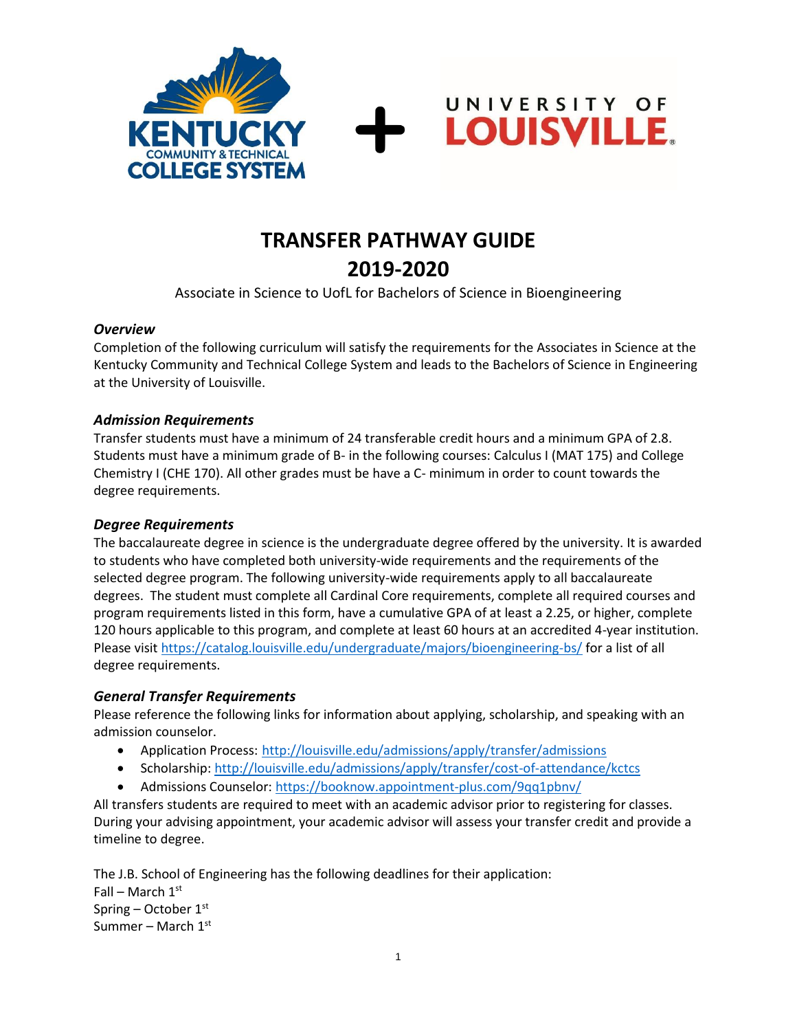



UNIVERSITY OF

**LOUISVILLE.** 

Associate in Science to UofL for Bachelors of Science in Bioengineering

#### *Overview*

Completion of the following curriculum will satisfy the requirements for the Associates in Science at the Kentucky Community and Technical College System and leads to the Bachelors of Science in Engineering at the University of Louisville.

#### *Admission Requirements*

Transfer students must have a minimum of 24 transferable credit hours and a minimum GPA of 2.8. Students must have a minimum grade of B- in the following courses: Calculus I (MAT 175) and College Chemistry I (CHE 170). All other grades must be have a C- minimum in order to count towards the degree requirements.

#### *Degree Requirements*

The baccalaureate degree in science is the undergraduate degree offered by the university. It is awarded to students who have completed both university-wide requirements and the requirements of the selected degree program. The following university-wide requirements apply to all baccalaureate degrees. The student must complete all Cardinal Core requirements, complete all required courses and program requirements listed in this form, have a cumulative GPA of at least a 2.25, or higher, complete 120 hours applicable to this program, and complete at least 60 hours at an accredited 4-year institution. Please visit https://catalog.louisville.edu/undergraduate/majors/bioengineering-bs/ for a list of all degree requirements.

#### *General Transfer Requirements*

Please reference the following links for information about applying, scholarship, and speaking with an admission counselor.

- Application Process: <http://louisville.edu/admissions/apply/transfer/admissions>
- Scholarship[: http://louisville.edu/admissions/apply/transfer/cost-of-attendance/kctcs](http://louisville.edu/admissions/apply/transfer/cost-of-attendance/kctcs)
- Admissions Counselor[: https://booknow.appointment-plus.com/9qq1pbnv/](https://booknow.appointment-plus.com/9qq1pbnv/)

All transfers students are required to meet with an academic advisor prior to registering for classes. During your advising appointment, your academic advisor will assess your transfer credit and provide a timeline to degree.

The J.B. School of Engineering has the following deadlines for their application: Fall – March  $1<sup>st</sup>$ Spring – October 1st Summer – March  $1<sup>st</sup>$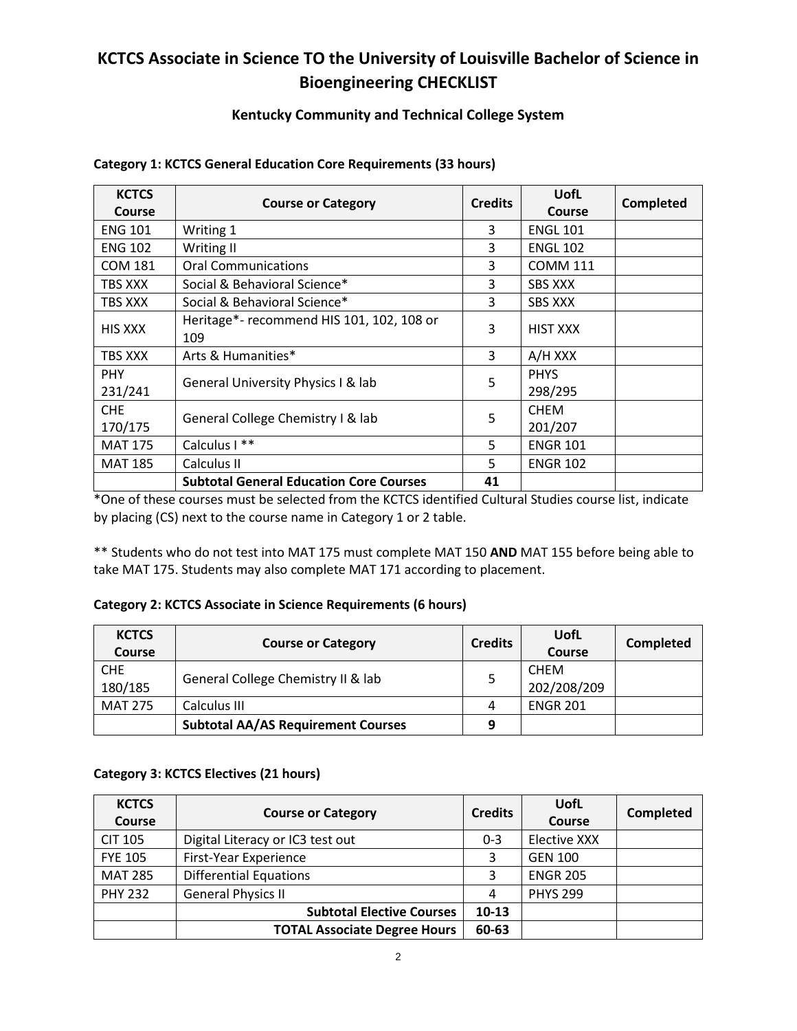## **KCTCS Associate in Science TO the University of Louisville Bachelor of Science in Bioengineering CHECKLIST**

#### **Kentucky Community and Technical College System**

| <b>KCTCS</b>   | <b>Course or Category</b>                      | <b>Credits</b> | <b>UofL</b>     | <b>Completed</b> |
|----------------|------------------------------------------------|----------------|-----------------|------------------|
| <b>Course</b>  |                                                |                | <b>Course</b>   |                  |
| <b>ENG 101</b> | Writing 1                                      | 3              | <b>ENGL 101</b> |                  |
| <b>ENG 102</b> | Writing II                                     | 3              | <b>ENGL 102</b> |                  |
| <b>COM 181</b> | <b>Oral Communications</b>                     | 3              | <b>COMM 111</b> |                  |
| TBS XXX        | Social & Behavioral Science*                   | 3              | <b>SBS XXX</b>  |                  |
| TBS XXX        | Social & Behavioral Science*                   | 3              | <b>SBS XXX</b>  |                  |
| HIS XXX        | Heritage*- recommend HIS 101, 102, 108 or      | 3              | <b>HIST XXX</b> |                  |
|                | 109                                            |                |                 |                  |
| TBS XXX        | Arts & Humanities*                             | 3              | A/H XXX         |                  |
| <b>PHY</b>     | General University Physics I & lab             | 5              | <b>PHYS</b>     |                  |
| 231/241        |                                                |                | 298/295         |                  |
| <b>CHE</b>     | General College Chemistry I & lab              | 5              | <b>CHEM</b>     |                  |
| 170/175        |                                                |                | 201/207         |                  |
| <b>MAT 175</b> | Calculus I **                                  | 5              | <b>ENGR 101</b> |                  |
| <b>MAT 185</b> | Calculus II                                    | 5              | <b>ENGR 102</b> |                  |
|                | <b>Subtotal General Education Core Courses</b> | 41             |                 |                  |

#### **Category 1: KCTCS General Education Core Requirements (33 hours)**

\*One of these courses must be selected from the KCTCS identified Cultural Studies course list, indicate by placing (CS) next to the course name in Category 1 or 2 table.

\*\* Students who do not test into MAT 175 must complete MAT 150 **AND** MAT 155 before being able to take MAT 175. Students may also complete MAT 171 according to placement.

#### **Category 2: KCTCS Associate in Science Requirements (6 hours)**

| <b>KCTCS</b><br><b>Course</b> | <b>Course or Category</b>                 | <b>Credits</b> | UofL<br>Course             | <b>Completed</b> |
|-------------------------------|-------------------------------------------|----------------|----------------------------|------------------|
| <b>CHE</b><br>180/185         | General College Chemistry II & lab        |                | <b>CHEM</b><br>202/208/209 |                  |
| <b>MAT 275</b>                | Calculus III                              | 4              | <b>ENGR 201</b>            |                  |
|                               | <b>Subtotal AA/AS Requirement Courses</b> | 9              |                            |                  |

#### **Category 3: KCTCS Electives (21 hours)**

| <b>KCTCS</b><br><b>Course</b> | <b>Course or Category</b>           | <b>Credits</b> | UofL<br>Course  | <b>Completed</b> |
|-------------------------------|-------------------------------------|----------------|-----------------|------------------|
| <b>CIT 105</b>                | Digital Literacy or IC3 test out    | $0 - 3$        | Elective XXX    |                  |
| <b>FYE 105</b>                | First-Year Experience               | 3              | <b>GEN 100</b>  |                  |
| <b>MAT 285</b>                | <b>Differential Equations</b>       |                | <b>ENGR 205</b> |                  |
| <b>PHY 232</b>                | <b>General Physics II</b>           | 4              | <b>PHYS 299</b> |                  |
|                               | <b>Subtotal Elective Courses</b>    | $10-13$        |                 |                  |
|                               | <b>TOTAL Associate Degree Hours</b> | 60-63          |                 |                  |